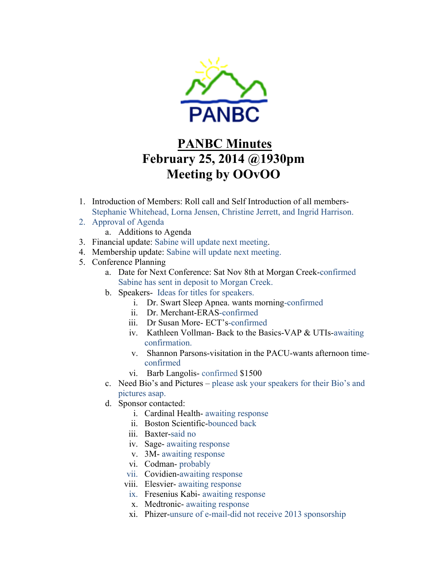

## **PANBC Minutes February 25, 2014 @1930pm Meeting by OOvOO**

- 1. Introduction of Members: Roll call and Self Introduction of all members-Stephanie Whitehead, Lorna Jensen, Christine Jerrett, and Ingrid Harrison.
- 2. Approval of Agenda
	- a. Additions to Agenda
- 3. Financial update: Sabine will update next meeting.
- 4. Membership update: Sabine will update next meeting.
- 5. Conference Planning
	- a. Date for Next Conference: Sat Nov 8th at Morgan Creek-confirmed Sabine has sent in deposit to Morgan Creek.
	- b. Speakers- Ideas for titles for speakers.
		- i. Dr. Swart Sleep Apnea. wants morning-confirmed
		- ii. Dr. Merchant-ERAS-confirmed
		- iii. Dr Susan More- ECT's-confirmed
		- iv. Kathleen Vollman- Back to the Basics-VAP & UTIs-awaiting confirmation.
		- v. Shannon Parsons-visitation in the PACU-wants afternoon timeconfirmed
		- vi. Barb Langolis- confirmed \$1500
	- c. Need Bio's and Pictures please ask your speakers for their Bio's and pictures asap.
	- d. Sponsor contacted:
		- i. Cardinal Health- awaiting response
		- ii. Boston Scientific-bounced back
		- iii. Baxter-said no
		- iv. Sage- awaiting response
		- v. 3M- awaiting response
		- vi. Codman- probably
		- vii. Covidien-awaiting response
		- viii. Elesvier- awaiting response
			- ix. Fresenius Kabi- awaiting response
			- x. Medtronic- awaiting response
		- xi. Phizer-unsure of e-mail-did not receive 2013 sponsorship